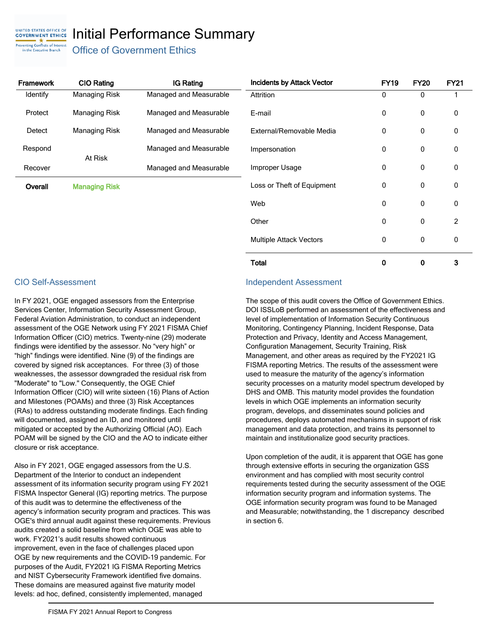## UNITED STATES OFFICE OF<br>**GOVERNMENT ETHICS** Initial Performance Summary Preventing Conflicts of Interest

Office of Government Ethics

| Framework | <b>CIO Rating</b>    | IG Rating              |  |  |
|-----------|----------------------|------------------------|--|--|
| Identify  | Managing Risk        | Managed and Measurable |  |  |
| Protect   | Managing Risk        | Managed and Measurable |  |  |
| Detect    | Managing Risk        | Managed and Measurable |  |  |
| Respond   | At Risk              | Managed and Measurable |  |  |
| Recover   |                      | Managed and Measurable |  |  |
| Overall   | <b>Managing Risk</b> |                        |  |  |

| <b>Incidents by Attack Vector</b> | <b>FY19</b> | <b>FY20</b> | <b>FY21</b> |
|-----------------------------------|-------------|-------------|-------------|
| Attrition                         | 0           | 0           | 1           |
| E-mail                            | 0           | 0           | 0           |
| External/Removable Media          | 0           | 0           | 0           |
| Impersonation                     | 0           | 0           | $\Omega$    |
| Improper Usage                    | U           | 0           | 0           |
| Loss or Theft of Equipment        | O           | 0           | 0           |
| Web                               | 0           | 0           | 0           |
| Other                             | 0           | 0           | 2           |
| <b>Multiple Attack Vectors</b>    | 0           | 0           | 0           |
| Total                             | 0           | 0           | 3           |

in the Executive Branch

In FY 2021, OGE engaged assessors from the Enterprise Services Center, Information Security Assessment Group, Federal Aviation Administration, to conduct an independent assessment of the OGE Network using FY 2021 FISMA Chief Information Officer (CIO) metrics. Twenty-nine (29) moderate findings were identified by the assessor. No "very high" or "high" findings were identified. Nine (9) of the findings are covered by signed risk acceptances. For three (3) of those weaknesses, the assessor downgraded the residual risk from "Moderate" to "Low." Consequently, the OGE Chief Information Officer (CIO) will write sixteen (16) Plans of Action and Milestones (POAMs) and three (3) Risk Acceptances (RAs) to address outstanding moderate findings. Each finding will documented, assigned an ID, and monitored until mitigated or accepted by the Authorizing Official (AO). Each POAM will be signed by the CIO and the AO to indicate either closure or risk acceptance.

Also in FY 2021, OGE engaged assessors from the U.S. Department of the Interior to conduct an independent assessment of its information security program using FY 2021 FISMA Inspector General (IG) reporting metrics. The purpose of this audit was to determine the effectiveness of the agency's information security program and practices. This was OGE's third annual audit against these requirements. Previous audits created a solid baseline from which OGE was able to work. FY2021's audit results showed continuous improvement, even in the face of challenges placed upon OGE by new requirements and the COVID-19 pandemic. For purposes of the Audit, FY2021 IG FISMA Reporting Metrics and NIST Cybersecurity Framework identified five domains. These domains are measured against five maturity model levels: ad hoc, defined, consistently implemented, managed

## CIO Self-Assessment Independent Assessment

The scope of this audit covers the Office of Government Ethics. DOI ISSLoB performed an assessment of the effectiveness and level of implementation of Information Security Continuous Monitoring, Contingency Planning, Incident Response, Data Protection and Privacy, Identity and Access Management, Configuration Management, Security Training, Risk Management, and other areas as required by the FY2021 IG FISMA reporting Metrics. The results of the assessment were used to measure the maturity of the agency's information security processes on a maturity model spectrum developed by DHS and OMB. This maturity model provides the foundation levels in which OGE implements an information security program, develops, and disseminates sound policies and procedures, deploys automated mechanisms in support of risk management and data protection, and trains its personnel to maintain and institutionalize good security practices.

Upon completion of the audit, it is apparent that OGE has gone through extensive efforts in securing the organization GSS environment and has complied with most security control requirements tested during the security assessment of the OGE information security program and information systems. The OGE information security program was found to be Managed and Measurable; notwithstanding, the 1 discrepancy described in section 6.